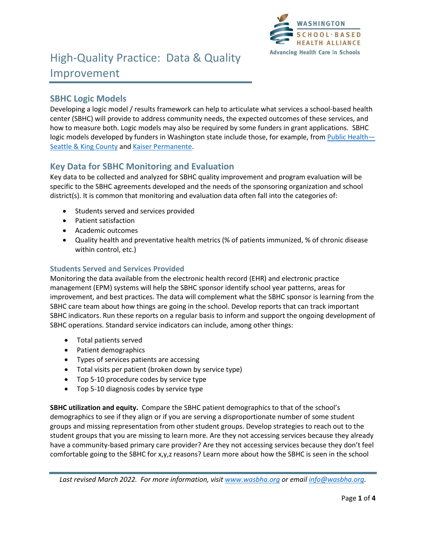

## **SBHC Logic Models**

Developing a logic model / results framework can help to articulate what services a school-based health center (SBHC) will provide to address community needs, the expected outcomes of these services, and how to measure both. Logic models may also be required by some funders in grant applications. SBHC logic models developed by funders in Washington state include those, for example, from [Public Health](https://wasbha.org/wp-content/uploads/2020/11/KC-Logic-Model-May-2016FINAL-002.pdf)— [Seattle & King County](https://wasbha.org/wp-content/uploads/2020/11/KC-Logic-Model-May-2016FINAL-002.pdf) and [Kaiser Permanente.](https://wasbha.org/wp-content/uploads/2020/11/KP-SBHC-Logic-Model-050219_Color-FINAL.pdf)

# **Key Data for SBHC Monitoring and Evaluation**

Key data to be collected and analyzed for SBHC quality improvement and program evaluation will be specific to the SBHC agreements developed and the needs of the sponsoring organization and school district(s). It is common that monitoring and evaluation data often fall into the categories of:

- Students served and services provided
- Patient satisfaction
- Academic outcomes
- Quality health and preventative health metrics (% of patients immunized, % of chronic disease within control, etc.)

## **Students Served and Services Provided**

Monitoring the data available from the electronic health record (EHR) and electronic practice management (EPM) systems will help the SBHC sponsor identify school year patterns, areas for improvement, and best practices. The data will complement what the SBHC sponsor is learning from the SBHC care team about how things are going in the school. Develop reports that can track important SBHC indicators. Run these reports on a regular basis to inform and support the ongoing development of SBHC operations. Standard service indicators can include, among other things:

- Total patients served
- Patient demographics
- Types of services patients are accessing
- Total visits per patient (broken down by service type)
- Top 5-10 procedure codes by service type
- Top 5-10 diagnosis codes by service type

**SBHC utilization and equity.** Compare the SBHC patient demographics to that of the school's demographics to see if they align or if you are serving a disproportionate number of some student groups and missing representation from other student groups. Develop strategies to reach out to the student groups that you are missing to learn more. Are they not accessing services because they already have a community-based primary care provider? Are they not accessing services because they don't feel comfortable going to the SBHC for x,y,z reasons? Learn more about how the SBHC is seen in the school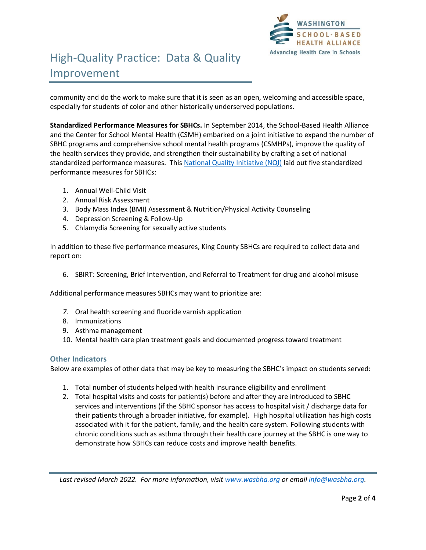

# High-Quality Practice: Data & Quality Improvement

community and do the work to make sure that it is seen as an open, welcoming and accessible space, especially for students of color and other historically underserved populations.

**Standardized Performance Measures for SBHCs.** In September 2014, the School-Based Health Alliance and the Center for School Mental Health (CSMH) embarked on a joint initiative to expand the number of SBHC programs and comprehensive school mental health programs (CSMHPs), improve the quality of the health services they provide, and strengthen their sustainability by crafting a set of national standardized performance measures. This [National Quality](https://www.sbh4all.org/current_initiatives/nqi/initiative-background/) Initiative (NQI) laid out five standardized performance measures for SBHCs:

- 1. Annual Well-Child Visit
- 2. Annual Risk Assessment
- 3. Body Mass Index (BMI) Assessment & Nutrition/Physical Activity Counseling
- 4. Depression Screening & Follow-Up
- 5. Chlamydia Screening for sexually active students

In addition to these five performance measures, King County SBHCs are required to collect data and report on:

6. SBIRT: Screening, Brief Intervention, and Referral to Treatment for drug and alcohol misuse

Additional performance measures SBHCs may want to prioritize are:

- *7.* Oral health screening and fluoride varnish application
- 8. Immunizations
- 9. Asthma management
- 10. Mental health care plan treatment goals and documented progress toward treatment

#### **Other Indicators**

Below are examples of other data that may be key to measuring the SBHC's impact on students served:

- 1. Total number of students helped with health insurance eligibility and enrollment
- 2. Total hospital visits and costs for patient(s) before and after they are introduced to SBHC services and interventions (if the SBHC sponsor has access to hospital visit / discharge data for their patients through a broader initiative, for example). High hospital utilization has high costs associated with it for the patient, family, and the health care system. Following students with chronic conditions such as asthma through their health care journey at the SBHC is one way to demonstrate how SBHCs can reduce costs and improve health benefits.

*Last revised March 2022. For more information, visit [www.wasbha.org](http://www.wasbha.org/) or email [info@wasbha.org.](mailto:info@wasbha.org)*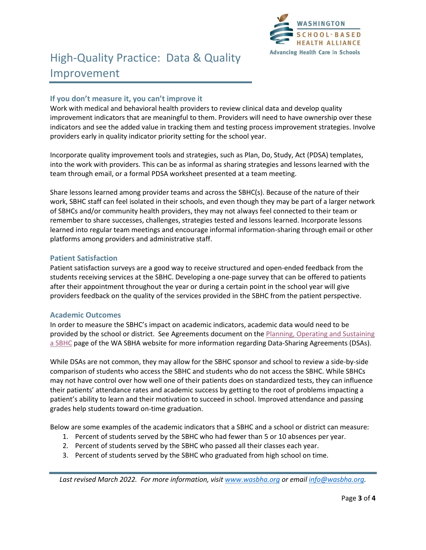

### **If you don't measure it, you can't improve it**

Work with medical and behavioral health providers to review clinical data and develop quality improvement indicators that are meaningful to them. Providers will need to have ownership over these indicators and see the added value in tracking them and testing process improvement strategies. Involve providers early in quality indicator priority setting for the school year.

Incorporate quality improvement tools and strategies, such as Plan, Do, Study, Act (PDSA) templates, into the work with providers. This can be as informal as sharing strategies and lessons learned with the team through email, or a formal PDSA worksheet presented at a team meeting.

Share lessons learned among provider teams and across the SBHC(s). Because of the nature of their work, SBHC staff can feel isolated in their schools, and even though they may be part of a larger network of SBHCs and/or community health providers, they may not always feel connected to their team or remember to share successes, challenges, strategies tested and lessons learned. Incorporate lessons learned into regular team meetings and encourage informal information-sharing through email or other platforms among providers and administrative staff.

#### **Patient Satisfaction**

Patient satisfaction surveys are a good way to receive structured and open-ended feedback from the students receiving services at the SBHC. Developing a one-page survey that can be offered to patients after their appointment throughout the year or during a certain point in the school year will give providers feedback on the quality of the services provided in the SBHC from the patient perspective.

#### **Academic Outcomes**

In order to measure the SBHC's impact on academic indicators, academic data would need to be provided by the school or district. See Agreements document on the Planning, Operating and Sustaining [a SBHC](https://wasbha.org/planning-operating-and-sustaining-a-sbhc/) page of the WA SBHA website for more information regarding Data-Sharing Agreements (DSAs).

While DSAs are not common, they may allow for the SBHC sponsor and school to review a side-by-side comparison of students who access the SBHC and students who do not access the SBHC. While SBHCs may not have control over how well one of their patients does on standardized tests, they can influence their patients' attendance rates and academic success by getting to the root of problems impacting a patient's ability to learn and their motivation to succeed in school. Improved attendance and passing grades help students toward on-time graduation.

Below are some examples of the academic indicators that a SBHC and a school or district can measure:

- 1. Percent of students served by the SBHC who had fewer than 5 or 10 absences per year.
- 2. Percent of students served by the SBHC who passed all their classes each year.
- 3. Percent of students served by the SBHC who graduated from high school on time.

*Last revised March 2022. For more information, visit [www.wasbha.org](http://www.wasbha.org/) or email [info@wasbha.org.](mailto:info@wasbha.org)*